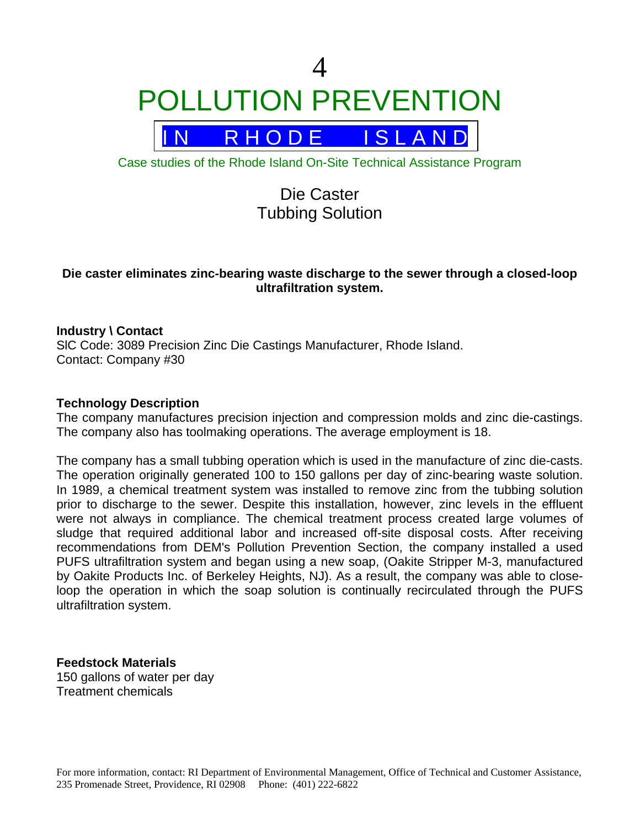4 POLLUTION PREVENTION



Case studies of the Rhode Island On-Site Technical Assistance Program

# Die Caster Tubbing Solution

## **Die caster eliminates zinc-bearing waste discharge to the sewer through a closed-loop ultrafiltration system.**

## **Industry \ Contact**

SlC Code: 3089 Precision Zinc Die Castings Manufacturer, Rhode Island. Contact: Company #30

#### **Technology Description**

The company manufactures precision injection and compression molds and zinc die-castings. The company also has toolmaking operations. The average employment is 18.

The company has a small tubbing operation which is used in the manufacture of zinc die-casts. The operation originally generated 100 to 150 gallons per day of zinc-bearing waste solution. In 1989, a chemical treatment system was installed to remove zinc from the tubbing solution prior to discharge to the sewer. Despite this installation, however, zinc levels in the effluent were not always in compliance. The chemical treatment process created large volumes of sludge that required additional labor and increased off-site disposal costs. After receiving recommendations from DEM's Pollution Prevention Section, the company installed a used PUFS ultrafiltration system and began using a new soap, (Oakite Stripper M-3, manufactured by Oakite Products Inc. of Berkeley Heights, NJ). As a result, the company was able to closeloop the operation in which the soap solution is continually recirculated through the PUFS ultrafiltration system.

**Feedstock Materials** 150 gallons of water per day Treatment chemicals